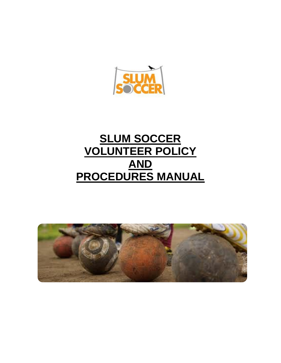

# **SLUM SOCCER VOLUNTEER POLICY AND PROCEDURES MANUAL**

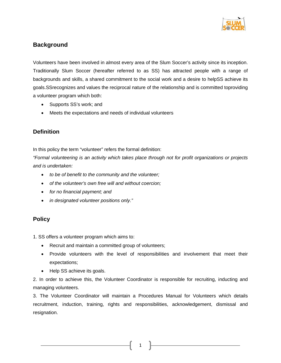

### **Background**

Volunteers have been involved in almost every area of the Slum Soccer's activity since its inception. Traditionally Slum Soccer (hereafter referred to as SS) has attracted people with a range of backgrounds and skills, a shared commitment to the social work and a desire to helpSS achieve its goals.SSrecognizes and values the reciprocal nature of the relationship and is committed toproviding a volunteer program which both:

- Supports SS's work; and
- Meets the expectations and needs of individual volunteers

### **Definition**

In this policy the term "volunteer" refers the formal definition:

*"Formal volunteering is an activity which takes place through not for profit organizations or projects and is undertaken:*

- *to be of benefit to the community and the volunteer;*
- *of the volunteer's own free will and without coercion;*
- *for no financial payment; and*
- *in designated volunteer positions only."*

### **Policy**

1. SS offers a volunteer program which aims to:

- Recruit and maintain a committed group of volunteers;
- Provide volunteers with the level of responsibilities and involvement that meet their expectations;
- Help SS achieve its goals.

2. In order to achieve this, the Volunteer Coordinator is responsible for recruiting, inducting and managing volunteers.

3. The Volunteer Coordinator will maintain a Procedures Manual for Volunteers which details recruitment, induction, training, rights and responsibilities, acknowledgement, dismissal and resignation.

1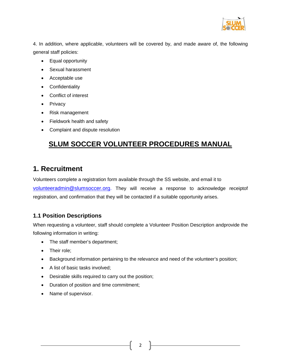

4. In addition, where applicable, volunteers will be covered by, and made aware of, the following general staff policies:

- Equal opportunity
- Sexual harassment
- Acceptable use
- Confidentiality
- Conflict of interest
- Privacy
- Risk management
- Fieldwork health and safety
- Complaint and dispute resolution

# **SLUM SOCCER VOLUNTEER PROCEDURES MANUAL**

## **1. Recruitment**

Volunteers complete a registration form available through the SS website, and email it to [volunteeradmin@slumsoccer.org.](mailto:volunteeradmin@slumsoccer.org) They will receive a response to acknowledge receiptof registration, and confirmation that they will be contacted if a suitable opportunity arises.

### **1.1 Position Descriptions**

When requesting a volunteer, staff should complete a Volunteer Position Description andprovide the following information in writing:

- The staff member's department;
- Their role:
- Background information pertaining to the relevance and need of the volunteer's position;

2

- A list of basic tasks involved;
- Desirable skills required to carry out the position;
- Duration of position and time commitment;
- Name of supervisor.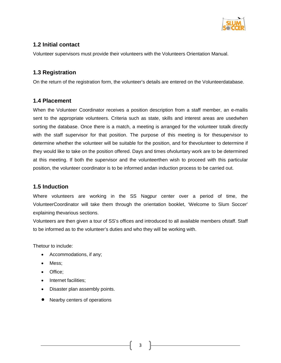

### **1.2 Initial contact**

Volunteer supervisors must provide their volunteers with the Volunteers Orientation Manual.

### **1.3 Registration**

On the return of the registration form, the volunteer's details are entered on the Volunteerdatabase.

#### **1.4 Placement**

When the Volunteer Coordinator receives a position description from a staff member, an e-mailis sent to the appropriate volunteers. Criteria such as state, skills and interest areas are usedwhen sorting the database. Once there is a match, a meeting is arranged for the volunteer totalk directly with the staff supervisor for that position. The purpose of this meeting is for thesupervisor to determine whether the volunteer will be suitable for the position, and for thevolunteer to determine if they would like to take on the position offered. Days and times ofvoluntary work are to be determined at this meeting. If both the supervisor and the volunteerthen wish to proceed with this particular position, the volunteer coordinator is to be informed andan induction process to be carried out.

### **1.5 Induction**

Where volunteers are working in the SS Nagpur center over a period of time, the VolunteerCoordinator will take them through the orientation booklet, 'Welcome to Slum Soccer' explaining thevarious sections.

Volunteers are then given a tour of SS's offices and introduced to all available members ofstaff. Staff to be informed as to the volunteer's duties and who they will be working with.

Thetour to include:

- Accommodations, if any;
- Mess;
- Office;
- Internet facilities:
- Disaster plan assembly points.
- Nearby centers of operations

3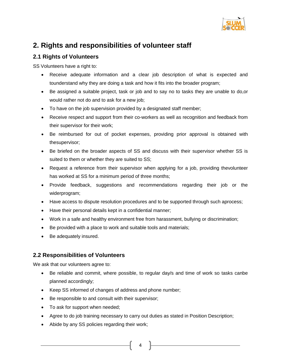

# **2. Rights and responsibilities of volunteer staff**

### **2.1 Rights of Volunteers**

SS Volunteers have a right to:

- Receive adequate information and a clear job description of what is expected and tounderstand why they are doing a task and how it fits into the broader program;
- Be assigned a suitable project, task or job and to say no to tasks they are unable to do, or would rather not do and to ask for a new job;
- To have on the job supervision provided by a designated staff member;
- Receive respect and support from their co-workers as well as recognition and feedback from their supervisor for their work;
- Be reimbursed for out of pocket expenses, providing prior approval is obtained with thesupervisor;
- Be briefed on the broader aspects of SS and discuss with their supervisor whether SS is suited to them or whether they are suited to SS;
- Request a reference from their supervisor when applying for a job, providing thevolunteer has worked at SS for a minimum period of three months;
- Provide feedback, suggestions and recommendations regarding their job or the widerprogram;
- Have access to dispute resolution procedures and to be supported through such aprocess;
- Have their personal details kept in a confidential manner;
- Work in a safe and healthy environment free from harassment, bullying or discrimination;
- Be provided with a place to work and suitable tools and materials;
- Be adequately insured.

### **2.2 Responsibilities of Volunteers**

We ask that our volunteers agree to:

- Be reliable and commit, where possible, to regular day/s and time of work so tasks canbe planned accordingly;
- Keep SS informed of changes of address and phone number;
- Be responsible to and consult with their supervisor;
- To ask for support when needed;
- Agree to do job training necessary to carry out duties as stated in Position Description;

 $4 \parallel$ 

• Abide by any SS policies regarding their work;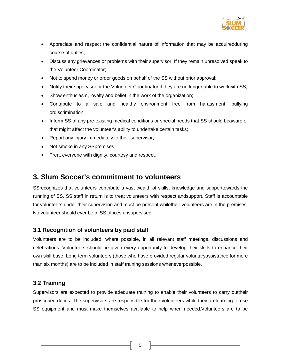

- Appreciate and respect the confidential nature of information that may be acquiredduring course of duties;
- Discuss any grievances or problems with their supervisor. If they remain unresolved speak to the Volunteer Coordinator;
- Not to spend money or order goods on behalf of the SS without prior approval;
- Notify their supervisor or the Volunteer Coordinator if they are no longer able to workwith SS;
- Show enthusiasm, loyalty and belief in the work of the organization;
- Contribute to a safe and healthy environment free from harassment, bullying ordiscrimination;
- Inform SS of any pre-existing medical conditions or special needs that SS should beaware of that might affect the volunteer's ability to undertake certain tasks;
- Report any injury immediately to their supervisor;
- Not smoke in any SSpremises;
- Treat everyone with dignity, courtesy and respect.

### **3. Slum Soccer's commitment to volunteers**

SSrecognizes that volunteers contribute a vast wealth of skills, knowledge and supporttowards the running of SS. SS staff in return is to treat volunteers with respect andsupport. Staff is accountable for volunteers under their supervision and must be present whiletheir volunteers are in the premises. No volunteer should ever be in SS offices unsupervised.

### **3.1 Recognition of volunteers by paid staff**

Volunteers are to be included, where possible, in all relevant staff meetings, discussions and celebrations. Volunteers should be given every opportunity to develop their skills to enhance their own skill base. Long term volunteers (those who have provided regular voluntaryassistance for more than six months) are to be included in staff training sessions wheneverpossible.

### **3.2 Training**

Supervisors are expected to provide adequate training to enable their volunteers to carry outtheir proscribed duties. The supervisors are responsible for their volunteers while they arelearning to use SS equipment and must make themselves available to help when needed.Volunteers are to be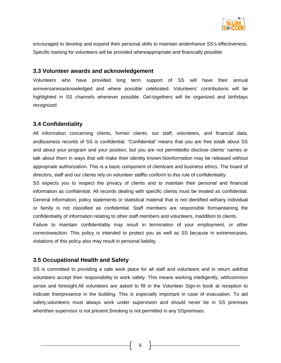

encouraged to develop and expand their personal skills to maintain andenhance SS's effectiveness. Specific training for volunteers will be provided whereappropriate and financially possible.

#### **3.3 Volunteer awards and acknowledgement**

Volunteers who have provided long term support of SS will have their annual anniversariesacknowledged and where possible celebrated. Volunteers' contributions will be highlighted in SS channels whenever possible. Get-togethers will be organized and birthdays recognized.

#### **3.4 Confidentiality**

All information concerning clients, former clients, our staff, volunteers, and financial data, andbusiness records of SS is confidential. "Confidential" means that you are free totalk about SS and about your program and your position, but you are not permittedto disclose clients' names or talk about them in ways that will make their identity known.Noinformation may be released without appropriate authorization. This is a basic component of clientcare and business ethics. The board of directors, staff and our clients rely on volunteer staffto conform to this rule of confidentiality.

SS expects you to respect the privacy of clients and to maintain their personal and financial information as confidential. All records dealing with specific clients must be treated as confidential. General information, policy statements or statistical material that is not identified withany individual or family is not classified as confidential. Staff members are responsible formaintaining the confidentiality of information relating to other staff members and volunteers, inaddition to clients.

Failure to maintain confidentiality may result in termination of your employment, or other correctiveaction. This policy is intended to protect you as well as SS because in extremecases, violations of this policy also may result in personal liability.

#### **3.5 Occupational Health and Safety**

SS is committed to providing a safe work place for all staff and volunteers and in return askthat volunteers accept their responsibility to work safely. This means working intelligently, withcommon sense and foresight.All volunteers are asked to fill in the Volunteer Sign-in book at reception to indicate theirpresence in the building. This is especially important in case of evacuation. To aid safety,volunteers must always work under supervision and should never be in SS premises whentheir supervisor is not present.Smoking is not permitted in any SSpremises.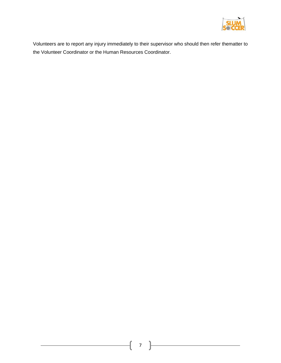

Volunteers are to report any injury immediately to their supervisor who should then refer thematter to the Volunteer Coordinator or the Human Resources Coordinator.

 $\overline{1}$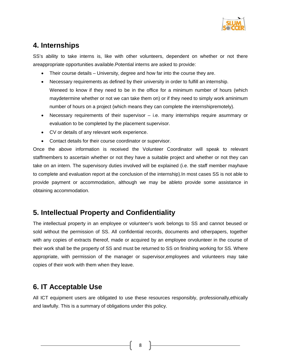

# **4. Internships**

SS's ability to take interns is, like with other volunteers, dependent on whether or not there areappropriate opportunities available.Potential interns are asked to provide:

- Their course details University, degree and how far into the course they are.
- Necessary requirements as defined by their university in order to fulfill an internship. Weneed to know if they need to be in the office for a minimum number of hours (which maydetermine whether or not we can take them on) or if they need to simply work aminimum number of hours on a project (which means they can complete the internshipremotely).
- Necessary requirements of their supervisor i.e. many internships require asummary or evaluation to be completed by the placement supervisor.
- CV or details of any relevant work experience.
- Contact details for their course coordinator or supervisor.

Once the above information is received the Volunteer Coordinator will speak to relevant staffmembers to ascertain whether or not they have a suitable project and whether or not they can take on an intern. The supervisory duties involved will be explained (i.e. the staff member mayhave to complete and evaluation report at the conclusion of the internship).In most cases SS is not able to provide payment or accommodation, although we may be ableto provide some assistance in obtaining accommodation.

### **5. Intellectual Property and Confidentiality**

The intellectual property in an employee or volunteer's work belongs to SS and cannot beused or sold without the permission of SS. All confidential records, documents and otherpapers, together with any copies of extracts thereof, made or acquired by an employee orvolunteer in the course of their work shall be the property of SS and must be returned to SS on finishing working for SS. Where appropriate, with permission of the manager or supervisor,employees and volunteers may take copies of their work with them when they leave.

### **6. IT Acceptable Use**

All ICT equipment users are obligated to use these resources responsibly, professionally,ethically and lawfully. This is a summary of obligations under this policy.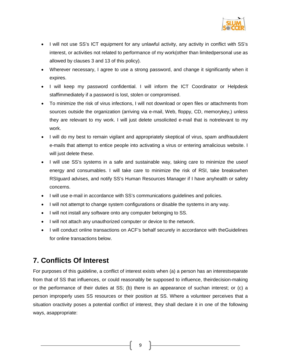

- I will not use SS's ICT equipment for any unlawful activity, any activity in conflict with SS's interest, or activities not related to performance of my work(other than limitedpersonal use as allowed by clauses 3 and 13 of this policy).
- Wherever necessary, I agree to use a strong password, and change it significantly when it expires.
- I will keep my password confidential. I will inform the ICT Coordinator or Helpdesk staffimmediately if a password is lost, stolen or compromised.
- To minimize the risk of virus infections, I will not download or open files or attachments from sources outside the organization (arriving via e-mail, Web, floppy, CD, memorykey,) unless they are relevant to my work. I will just delete unsolicited e-mail that is notrelevant to my work.
- I will do my best to remain vigilant and appropriately skeptical of virus, spam andfraudulent e-mails that attempt to entice people into activating a virus or entering amalicious website. I will just delete these.
- I will use SS's systems in a safe and sustainable way, taking care to minimize the useof energy and consumables. I will take care to minimize the risk of RSI, take breakswhen RSIguard advises, and notify SS's Human Resources Manager if I have anyhealth or safety concerns.
- I will use e-mail in accordance with SS's communications guidelines and policies.
- I will not attempt to change system configurations or disable the systems in any way.
- I will not install any software onto any computer belonging to SS.
- I will not attach any unauthorized computer or device to the network.
- I will conduct online transactions on ACF's behalf securely in accordance with theGuidelines for online transactions below.

# **7. Conflicts Of Interest**

For purposes of this guideline, a conflict of interest exists when (a) a person has an interestseparate from that of SS that influences, or could reasonably be supposed to influence, theirdecision-making or the performance of their duties at SS; (b) there is an appearance of suchan interest; or (c) a person improperly uses SS resources or their position at SS. Where a volunteer perceives that a situation oractivity poses a potential conflict of interest, they shall declare it in one of the following ways, asappropriate: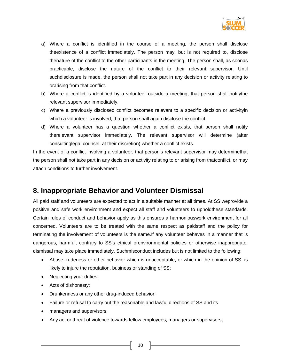

- a) Where a conflict is identified in the course of a meeting, the person shall disclose theexistence of a conflict immediately. The person may, but is not required to, disclose thenature of the conflict to the other participants in the meeting. The person shall, as soonas practicable, disclose the nature of the conflict to their relevant supervisor. Until suchdisclosure is made, the person shall not take part in any decision or activity relating to orarising from that conflict.
- b) Where a conflict is identified by a volunteer outside a meeting, that person shall notifythe relevant supervisor immediately.
- c) Where a previously disclosed conflict becomes relevant to a specific decision or activityin which a volunteer is involved, that person shall again disclose the conflict.
- d) Where a volunteer has a question whether a conflict exists, that person shall notify therelevant supervisor immediately. The relevant supervisor will determine (after consultinglegal counsel, at their discretion) whether a conflict exists.

In the event of a conflict involving a volunteer, that person's relevant supervisor may determinethat the person shall not take part in any decision or activity relating to or arising from thatconflict, or may attach conditions to further involvement.

### **8. Inappropriate Behavior and Volunteer Dismissal**

All paid staff and volunteers are expected to act in a suitable manner at all times. At SS weprovide a positive and safe work environment and expect all staff and volunteers to upholdthese standards. Certain rules of conduct and behavior apply as this ensures a harmoniouswork environment for all concerned. Volunteers are to be treated with the same respect as paidstaff and the policy for terminating the involvement of volunteers is the same.If any volunteer behaves in a manner that is dangerous, harmful, contrary to SS's ethical orenvironmental policies or otherwise inappropriate, dismissal may take place immediately. Suchmisconduct includes but is not limited to the following:

- Abuse, rudeness or other behavior which is unacceptable, or which in the opinion of SS, is likely to injure the reputation, business or standing of SS;
- Neglecting your duties;
- Acts of dishonesty;
- Drunkenness or any other drug-induced behavior;
- Failure or refusal to carry out the reasonable and lawful directions of SS and its
- managers and supervisors;
- Any act or threat of violence towards fellow employees, managers or supervisors;